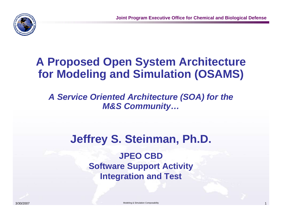

# **A Proposed Open System Architecture for Modeling and Simulation (OSAMS)**

*A Service Oriented Architecture (SOA) for the M&S Community…*

# **Jeffrey S. Steinman, Ph.D.**

**JPEO CBDSoftware Support Activity Integration and Test**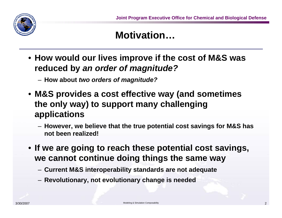

#### **Motivation…**

• **How would our lives improve if the cost of M&S was reduced by** *an order of magnitude?*

– **How about** *two orders of magnitude?*

- **M&S provides a cost effective way (and sometimes the only way) to support many challenging applications**
	- **However, we believe that the true potential cost savings for M&S has not been realized!**
- **If we are going to reach these potential cost savings, we cannot continue doing things the same way**
	- **Current M&S interoperability standards are not adequate**
	- **Revolutionary, not evolutionary change is needed**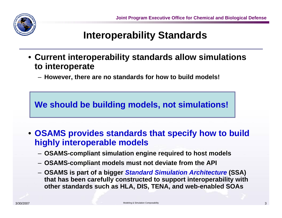

#### **Interoperability Standards**

- **Current interoperability standards allow simulations to interoperate**
	- **However, there are no standards for how to build models!**

**We should be building models, not simulations!**

- **OSAMS provides standards that specify how to build highly interoperable models**
	- **OSAMS-compliant simulation engine required to host models**
	- **OSAMS-compliant models must not deviate from the API**
	- **OSAMS is part of a bigger** *Standard Simulation Architecture* **(SSA) that has been carefully constructed to support interoperability with other standards such as HLA, DIS, TENA, and web-enabled SOAs**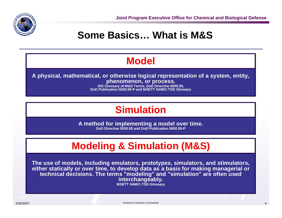

#### **Some Basics… What is M&S**

#### **Model**

**A physical, mathematical, or otherwise logical representation of a system, entity, phenomenon, or process.** 

**DIS Glossary of M&S Terms, DoD Directive 5000.59, DoD Publication 5000.59-P and MSETT NAWC-TSD Glossary**

#### **Simulation**

**A method for implementing a model over time. DoD Directive 5000.59 and DoD Publication 5000.59-P**

# **Modeling & Simulation (M&S)**

**The use of models, including emulators, prototypes, simulators, and stimulators, either statically or over time, to develop data as a basis for making managerial or**  technical decisions. The terms "modeling" and "simulation" are often used **interchangeably. MSETT NAWC-TSD Glossary**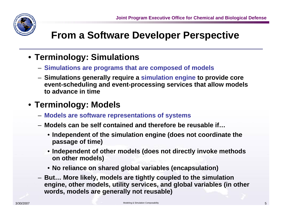

#### **From a Software Developer Perspective**

- **Terminology: Simulations**
	- **Simulations are programs that are composed of models**
	- **Simulations generally require a simulation engine to provide core event-scheduling and event-processing services that allow models to advance in time**

#### • **Terminology: Models**

- **Models are software representations of systems**
- **Models can be self contained and therefore be reusable if…**
	- **Independent of the simulation engine (does not coordinate the passage of time)**
	- **Independent of other models (does not directly invoke methods on other models)**
	- **No reliance on shared global variables (encapsulation)**
- **But… More likely, models are tightly coupled to the simulation engine, other models, utility services, and global variables (in other words, models are generally not reusable)**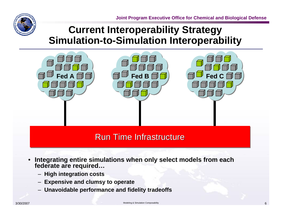

### **Current Interoperability Strategy Simulation-to-Simulation Interoperability**



#### Run Time Infrastructure

- • **Integrating entire simulations when only select models from each federate are required…**
	- **High integration costs**
	- **Expensive and clumsy to operate**
	- **Unavoidable performance and fidelity tradeoffs**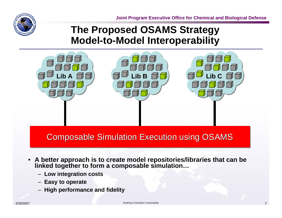**Joint Program Executive Office for Chemical and Biological Defense**



#### **The Proposed OSAMS Strategy Model-to-Model Interoperability**



Composable Simulation Execution using OSAMS

- $\bullet$  **A better approach is to create model repositories/libraries that can be linked together to form a composable simulation…**
	- **Low integration costs**
	- **Easy to operate**
	- **High performance and fidelity**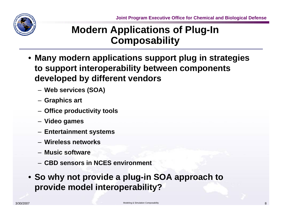

### **Modern Applications of Plug-In Composability**

- **Many modern applications support plug in strategies to support interoperability between components developed by different vendors**
	- **Web services (SOA)**
	- **Graphics art**
	- **Office productivity tools**
	- **Video games**
	- **Entertainment systems**
	- **Wireless networks**
	- **Music software**
	- **CBD sensors in NCES environment**
- **So why not provide a plug-in SOA approach to provide model interoperability?**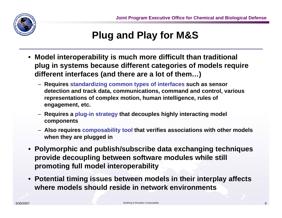

## **Plug and Play for M&S**

- **Model interoperability is much more difficult than traditional plug in systems because different categories of models require different interfaces (and there are a lot of them…)**
	- **Requires standardizing common types of interfaces such as sensor detection and track data, communications, command and control, various representations of complex motion, human intelligence, rules of engagement, etc.**
	- **Requires a plug-in strategy that decouples highly interacting model components**
	- **Also requires composability tool that verifies associations with other models when they are plugged in**
- **Polymorphic and publish/subscribe data exchanging techniques provide decoupling between software modules while still promoting full model interoperability**
- **Potential timing issues between models in their interplay affects where models should reside in network environments**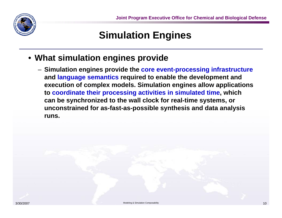

#### **Simulation Engines**

- **What simulation engines provide**
	- **Simulation engines provide the core event-processing infrastructure and language semantics required to enable the development and execution of complex models. Simulation engines allow applications to coordinate their processing activities in simulated time, which can be synchronized to the wall clock for real-time systems, or unconstrained for as-fast-as-possible synthesis and data analysis runs.**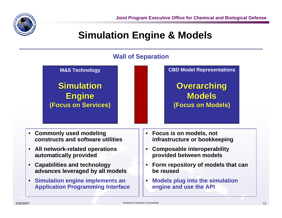

#### **Simulation Engine & Models**

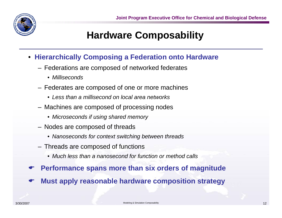

#### **Hardware Composability**

- **Hierarchically Composing a Federation onto Hardware**
	- Federations are composed of networked federates
		- *Milliseconds*
	- Federates are composed of one or more machines
		- *Less than a millisecond on local area networks*
	- Machines are composed of processing nodes
		- *Microseconds if using shared memory*
	- Nodes are composed of threads
		- *Nanoseconds for context switching between threads*
	- Threads are composed of functions
		- *Much less than a nanosecond for function or method calls*
- $\bullet$ **Performance spans more than six orders of magnitude**
- $\bullet$ **Must apply reasonable hardware composition strategy**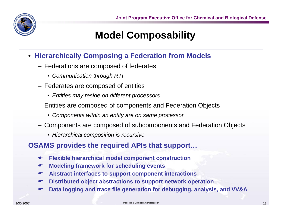

## **Model Composability**

- **Hierarchically Composing a Federation from Models**
	- Federations are composed of federates
		- *Communication through RTI*
	- Federates are composed of entities
		- *Entities may reside on different processors*
	- Entities are composed of components and Federation Objects
		- *Components within an entity are on same processor*
	- Components are composed of subcomponents and Federation Objects
		- *Hierarchical composition is recursive*

#### **OSAMS provides the required APIs that support…**

- $\bullet$ **Flexible hierarchical model component construction**
- $\bullet$ **Modeling framework for scheduling events**
- $\bullet$ **Abstract interfaces to support component interactions**
- $\bullet$ **Distributed object abstractions to support network operation**
- $\bullet$ **Data logging and trace file generation for debugging, analysis, and VV&A**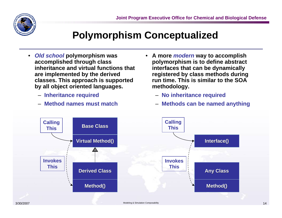

#### **Polymorphism Conceptualized**

- *Old school* **polymorphism was accomplished through class inheritance and virtual functions that are implemented by the derived classes. This approach is supported by all object oriented languages.**
	- **Inheritance required**
	- **Method names must match**
- **A more** *modern* **way to accomplish polymorphism is to define abstract interfaces that can be dynamically registered by class methods during run time. This is similar to the SOA methodology.**
	- **No inheritance required**
	- **Methods can be named anything**

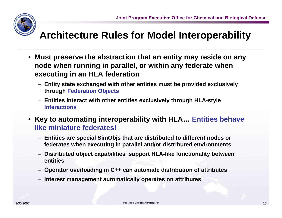

#### **Architecture Rules for Model Interoperability**

- **Must preserve the abstraction that an entity may reside on any node when running in parallel, or within any federate when executing in an HLA federation**
	- **Entity state exchanged with other entities must be provided exclusively through Federation Objects**
	- **Entities interact with other entities exclusively through HLA-style Interactions**
- **Key to automating interoperability with HLA… Entities behave like miniature federates!**
	- **Entities are special SimObjs that are distributed to different nodes or federates when executing in parallel and/or distributed environments**
	- **Distributed object capabilities support HLA-like functionality between entities**
	- **Operator overloading in C++ can automate distribution of attributes**
	- **Interest management automatically operates on attributes**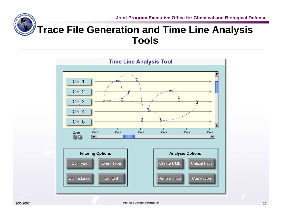

#### **Trace File Generation and Time Line Analysis Tools**

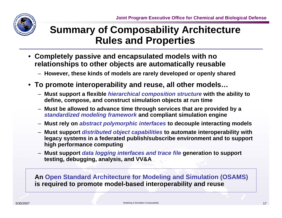

#### **Summary of Composability Architecture Rules and Properties**

• **Completely passive and encapsulated models with no relationships to other objects are automatically reusable**

– **However, these kinds of models are rarely developed or openly shared**

- **To promote interoperability and reuse, all other models…**
	- **Must support a flexible** *hierarchical composition structure* **with the ability to define, compose, and construct simulation objects at run time**
	- **Must be allowed to advance time through services that are provided by a**  *standardized modeling framework* **and compliant simulation engine**
	- **Must rely on** *abstract polymorphic interfaces* **to decouple interacting models**
	- **Must support** *distributed object capabilities* **to automate interoperability with legacy systems in a federated publish/subscribe environment and to support high performance computing**
	- **Must support** *data logging interfaces and trace file* **generation to support testing, debugging, analysis, and VV&A**

**An Open Standard Architecture for Modeling and Simulation (OSAMS) is required to promote model-based interoperability and reuse**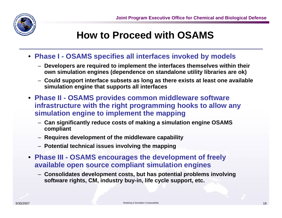

#### **How to Proceed with OSAMS**

- **Phase I - OSAMS specifies all interfaces invoked by models**
	- **Developers are required to implement the interfaces themselves within their own simulation engines (dependence on standalone utility libraries are ok)**
	- **Could support interface subsets as long as there exists at least one available simulation engine that supports all interfaces**
- **Phase II - OSAMS provides common middleware software infrastructure with the right programming hooks to allow any simulation engine to implement the mapping**
	- **Can significantly reduce costs of making a simulation engine OSAMS compliant**
	- **Requires development of the middleware capability**
	- **Potential technical issues involving the mapping**
- **Phase III - OSAMS encourages the development of freely available open source compliant simulation engines**
	- **Consolidates development costs, but has potential problems involving software rights, CM, industry buy-in, life cycle support, etc.**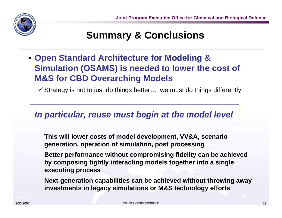

#### **Summary & Conclusions**

• **Open Standard Architecture for Modeling & Simulation (OSAMS) is needed to lower the cost of M&S for CBD Overarching Models**

 $\checkmark$  Strategy is not to just do things better... we must do things differently

#### *In particular, reuse must begin at the model level*

- **This will lower costs of model development, VV&A, scenario generation, operation of simulation, post processing**
- **Better performance without compromising fidelity can be achieved by composing tightly interacting models together into a single executing process**
- **Next-generation capabilities can be achieved without throwing away investments in legacy simulations or M&S technology efforts**